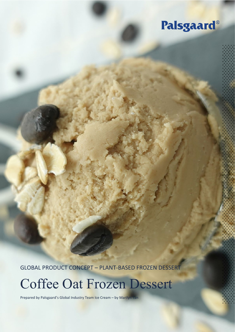## Palsgaard®

GLOBAL PRODUCT CONCEPT – PLANT-BASED FROZEN DESSERT

# Coffee Oat Frozen Dessert

Prepared by Palsgaard's Global Industry Team Ice Cream - by Marilyn Tan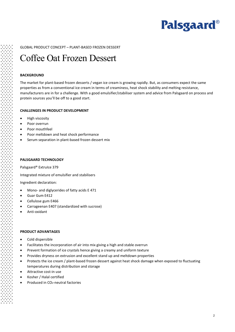

#### GLOBAL PRODUCT CONCEPT – PLANT-BASED FROZEN DESSERT

### Coffee Oat Frozen Dessert

#### **BACKGROUND**

The market for plant-based frozen desserts / vegan ice cream is growing rapidly. But, as consumers expect the same properties as from a conventional ice cream in terms of creaminess, heat shock stability and melting resistance, manufacturers are in for a challenge. With a good emulsifier/stabiliser system and advice from Palsgaard on process and protein sources you'll be off to a good start.

#### **CHALLENGES IN PRODUCT DEVELOPMENT**

- High viscosity
- Poor overrun
- Poor mouthfeel
- Poor meltdown and heat shock performance
- Serum separation in plant-based frozen dessert mix

#### **PALSGAARD TECHNOLOGY**

Palsgaard® ExtruIce 379

Integrated mixture of emulsifier and stabilisers

Ingredient declaration:

- Mono- and diglycerides of fatty acids E 471
- Guar Gum E412
- Cellulose gum E466
- Carrageenan E407 (standardized with sucrose)
- Anti-oxidant

#### **PRODUCT ADVANTAGES**

- Cold dispersible
- Facilitates the incorporation of air into mix giving a high and stable overrun
- Prevent formation of ice crystals hence giving a creamy and uniform texture
- Provides dryness on extrusion and excellent stand up and meltdown properties
- Protects the ice cream / plant-based frozen dessert against heat shock damage when exposed to fluctuating temperatures during distribution and storage
- Attractive cost-in use
- Kosher / Halal certified
- Produced in CO<sub>2</sub>-neutral factories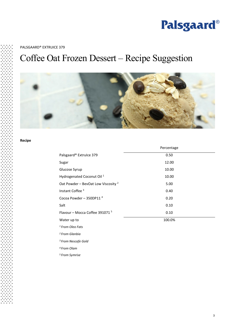

#### PALSGAARD® EXTRUICE 379

## Coffee Oat Frozen Dessert – Recipe Suggestion



#### **Recipe**

|                                                | Percentage |  |
|------------------------------------------------|------------|--|
| Palsgaard® Extruice 379                        | 0.50       |  |
| Sugar                                          | 12.00      |  |
| Glucose Syrup                                  | 10.00      |  |
| Hydrogenated Coconut Oil <sup>1</sup>          | 10.00      |  |
| Oat Powder - BevOat Low Viscosity <sup>2</sup> | 5.00       |  |
| Instant Coffee <sup>3</sup>                    | 0.40       |  |
| Cocoa Powder - 350DP11 $4$                     | 0.20       |  |
| Salt                                           | 0.10       |  |
| Flavour - Mocca Coffee 391071 <sup>5</sup>     | 0.10       |  |
| Water up to                                    | 100.0%     |  |
| <sup>1</sup> From Oleo Fats                    |            |  |

*2 From Glanbia*

*3 From Nescafe Gold* 

*4 From Olam*

*5 From Symrise*